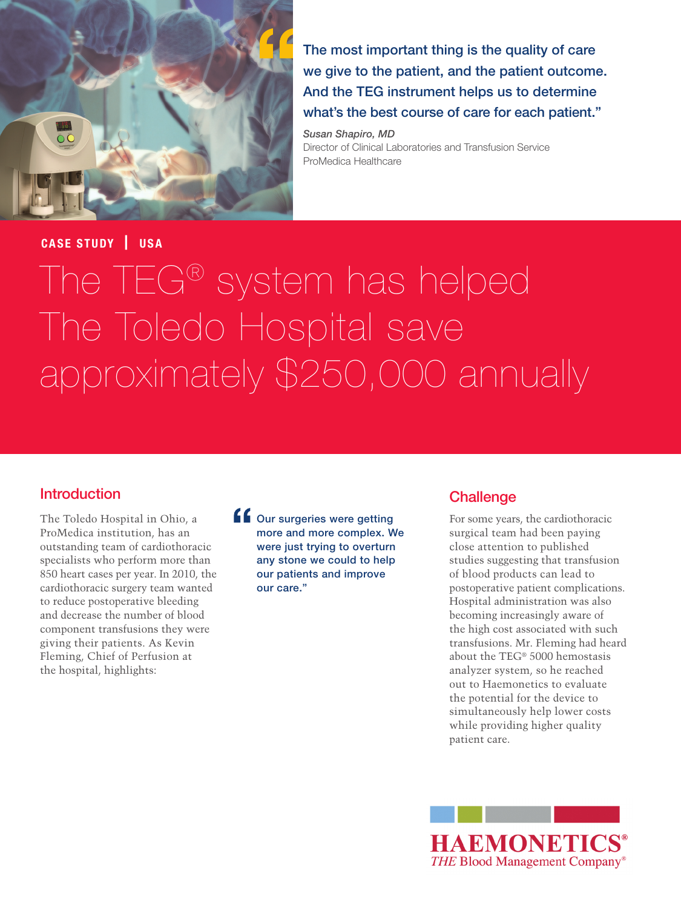

The most important thing is the quality of care we give to the patient, and the patient outcome. And the TEG instrument helps us to determine what's the best course of care for each patient."

*Susan Shapiro, MD* Director of Clinical Laboratories and Transfusion Service ProMedica Healthcare

## **CASE STUDY** | **USA**

# The TEG® system has helped The Toledo Hospital save approximately \$250,000 annually

## Introduction

The Toledo Hospital in Ohio, a ProMedica institution, has an outstanding team of cardiothoracic specialists who perform more than 850 heart cases per year. In 2010, the cardiothoracic surgery team wanted to reduce postoperative bleeding and decrease the number of blood component transfusions they were giving their patients. As Kevin Fleming, Chief of Perfusion at the hospital, highlights:

**f** Our surgeries were getting more and more complex. We were just trying to overturn any stone we could to help our patients and improve our care."

#### **Challenge**

For some years, the cardiothoracic surgical team had been paying close attention to published studies suggesting that transfusion of blood products can lead to postoperative patient complications. Hospital administration was also becoming increasingly aware of the high cost associated with such transfusions. Mr. Fleming had heard about the TEG® 5000 hemostasis analyzer system, so he reached out to Haemonetics to evaluate the potential for the device to simultaneously help lower costs while providing higher quality patient care.